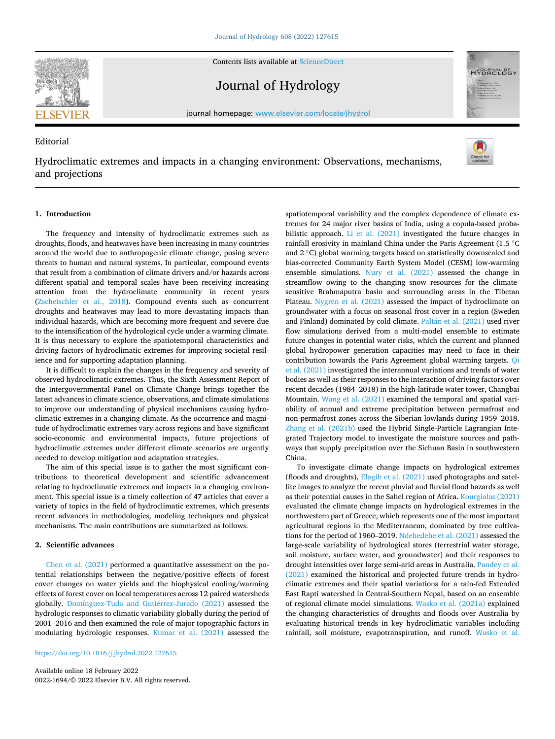Contents lists available at [ScienceDirect](www.sciencedirect.com/science/journal/00221694)

Journal of Hydrology

journal homepage: [www.elsevier.com/locate/jhydrol](https://www.elsevier.com/locate/jhydrol) 

# Editorial

Hydroclimatic extremes and impacts in a changing environment: Observations, mechanisms, and projections

## **1. Introduction**

The frequency and intensity of hydroclimatic extremes such as droughts, floods, and heatwaves have been increasing in many countries around the world due to anthropogenic climate change, posing severe threats to human and natural systems. In particular, compound events that result from a combination of climate drivers and/or hazards across different spatial and temporal scales have been receiving increasing attention from the hydroclimate community in recent years ([Zscheischler et al., 2018\)](#page-2-0). Compound events such as concurrent droughts and heatwaves may lead to more devastating impacts than individual hazards, which are becoming more frequent and severe due to the intensification of the hydrological cycle under a warming climate. It is thus necessary to explore the spatiotemporal characteristics and driving factors of hydroclimatic extremes for improving societal resilience and for supporting adaptation planning.

It is difficult to explain the changes in the frequency and severity of observed hydroclimatic extremes. Thus, the Sixth Assessment Report of the Intergovernmental Panel on Climate Change brings together the latest advances in climate science, observations, and climate simulations to improve our understanding of physical mechanisms causing hydroclimatic extremes in a changing climate. As the occurrence and magnitude of hydroclimatic extremes vary across regions and have significant socio-economic and environmental impacts, future projections of hydroclimatic extremes under different climate scenarios are urgently needed to develop mitigation and adaptation strategies.

The aim of this special issue is to gather the most significant contributions to theoretical development and scientific advancement relating to hydroclimatic extremes and impacts in a changing environment. This special issue is a timely collection of 47 articles that cover a variety of topics in the field of hydroclimatic extremes, which presents recent advances in methodologies, modeling techniques and physical mechanisms. The main contributions are summarized as follows.

## **2. Scientific advances**

[Chen et al. \(2021\)](#page-2-0) performed a quantitative assessment on the potential relationships between the negative/positive effects of forest cover changes on water yields and the biophysical cooling/warming effects of forest cover on local temperatures across 12 paired watersheds globally. [Domínguez-Tuda and Guti](#page-2-0)érrez-Jurado (2021) assessed the hydrologic responses to climatic variability globally during the period of 2001–2016 and then examined the role of major topographic factors in modulating hydrologic responses. [Kumar et al. \(2021\)](#page-2-0) assessed the

<https://doi.org/10.1016/j.jhydrol.2022.127615>

Available online 18 February 2022 0022-1694/© 2022 Elsevier B.V. All rights reserved. spatiotemporal variability and the complex dependence of climate extremes for 24 major river basins of India, using a copula-based probabilistic approach. [Li et al. \(2021\)](#page-2-0) investigated the future changes in rainfall erosivity in mainland China under the Paris Agreement (1.5 ◦C and 2 ◦C) global warming targets based on statistically downscaled and bias-corrected Community Earth System Model (CESM) low-warming ensemble simulations. [Nury et al. \(2021\)](#page-2-0) assessed the change in streamflow owing to the changing snow resources for the climatesensitive Brahmaputra basin and surrounding areas in the Tibetan Plateau. [Nygren et al. \(2021\)](#page-2-0) assessed the impact of hydroclimate on groundwater with a focus on seasonal frost cover in a region (Sweden and Finland) dominated by cold climate. Paltán et al. (2021) used river flow simulations derived from a multi-model ensemble to estimate future changes in potential water risks, which the current and planned global hydropower generation capacities may need to face in their contribution towards the Paris Agreement global warming targets. [Qi](#page-2-0)  [et al. \(2021\)](#page-2-0) investigated the interannual variations and trends of water bodies as well as their responses to the interaction of driving factors over recent decades (1984–2018) in the high-latitude water tower, Changbai Mountain. [Wang et al. \(2021\)](#page-2-0) examined the temporal and spatial variability of annual and extreme precipitation between permafrost and non-permafrost zones across the Siberian lowlands during 1959–2018. [Zhang et al. \(2021b\)](#page-2-0) used the Hybrid Single-Particle Lagrangian Integrated Trajectory model to investigate the moisture sources and pathways that supply precipitation over the Sichuan Basin in southwestern China.

To investigate climate change impacts on hydrological extremes (floods and droughts), [Elagib et al. \(2021\)](#page-2-0) used photographs and satellite images to analyze the recent pluvial and fluvial flood hazards as well as their potential causes in the Sahel region of Africa. [Kourgialas \(2021\)](#page-2-0)  evaluated the climate change impacts on hydrological extremes in the northwestern part of Greece, which represents one of the most important agricultural regions in the Mediterranean, dominated by tree cultivations for the period of 1960–2019. [Ndehedehe et al. \(2021\)](#page-2-0) assessed the large-scale variability of hydrological stores (terrestrial water storage, soil moisture, surface water, and groundwater) and their responses to drought intensities over large semi-arid areas in Australia. [Pandey et al.](#page-2-0)  [\(2021\)](#page-2-0) examined the historical and projected future trends in hydroclimatic extremes and their spatial variations for a rain-fed Extended East Rapti watershed in Central-Southern Nepal, based on an ensemble of regional climate model simulations. [Wasko et al. \(2021a\)](#page-2-0) explained the changing characteristics of droughts and floods over Australia by evaluating historical trends in key hydroclimatic variables including rainfall, soil moisture, evapotranspiration, and runoff. [Wasko et al.](#page-2-0) 



**HYDROLOGY** 

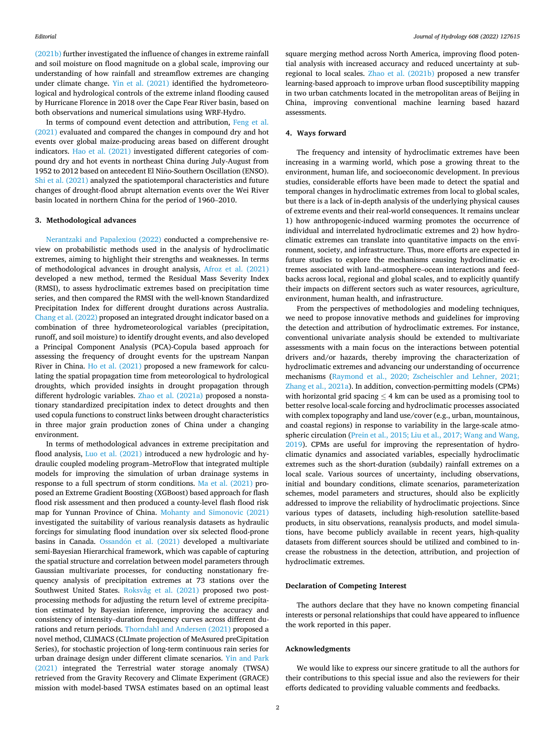[\(2021b\)](#page-2-0) further investigated the influence of changes in extreme rainfall and soil moisture on flood magnitude on a global scale, improving our understanding of how rainfall and streamflow extremes are changing under climate change. [Yin et al. \(2021\)](#page-2-0) identified the hydrometeorological and hydrological controls of the extreme inland flooding caused by Hurricane Florence in 2018 over the Cape Fear River basin, based on both observations and numerical simulations using WRF-Hydro.

In terms of compound event detection and attribution, [Feng et al.](#page-2-0)  [\(2021\)](#page-2-0) evaluated and compared the changes in compound dry and hot events over global maize-producing areas based on different drought indicators. [Hao et al. \(2021\)](#page-2-0) investigated different categories of compound dry and hot events in northeast China during July-August from 1952 to 2012 based on antecedent El Niño-Southern Oscillation (ENSO). [Shi et al. \(2021\)](#page-2-0) analyzed the spatiotemporal characteristics and future changes of drought-flood abrupt alternation events over the Wei River basin located in northern China for the period of 1960–2010.

#### **3. Methodological advances**

[Nerantzaki and Papalexiou \(2022\)](#page-2-0) conducted a comprehensive review on probabilistic methods used in the analysis of hydroclimatic extremes, aiming to highlight their strengths and weaknesses. In terms of methodological advances in drought analysis, [Afroz et al. \(2021\)](#page-2-0)  developed a new method, termed the Residual Mass Severity Index (RMSI), to assess hydroclimatic extremes based on precipitation time series, and then compared the RMSI with the well-known Standardized Precipitation Index for different drought durations across Australia. [Chang et al. \(2022\)](#page-2-0) proposed an integrated drought indicator based on a combination of three hydrometeorological variables (precipitation, runoff, and soil moisture) to identify drought events, and also developed a Principal Component Analysis (PCA)-Copula based approach for assessing the frequency of drought events for the upstream Nanpan River in China. [Ho et al. \(2021\)](#page-2-0) proposed a new framework for calculating the spatial propagation time from meteorological to hydrological droughts, which provided insights in drought propagation through different hydrologic variables. [Zhao et al. \(2021a\)](#page-2-0) proposed a nonstationary standardized precipitation index to detect droughts and then used copula functions to construct links between drought characteristics in three major grain production zones of China under a changing environment.

In terms of methodological advances in extreme precipitation and flood analysis, [Luo et al. \(2021\)](#page-2-0) introduced a new hydrologic and hydraulic coupled modeling program–MetroFlow that integrated multiple models for improving the simulation of urban drainage systems in response to a full spectrum of storm conditions. [Ma et al. \(2021\)](#page-2-0) proposed an Extreme Gradient Boosting (XGBoost) based approach for flash flood risk assessment and then produced a county-level flash flood risk map for Yunnan Province of China. [Mohanty and Simonovic \(2021\)](#page-2-0)  investigated the suitability of various reanalysis datasets as hydraulic forcings for simulating flood inundation over six selected flood-prone basins in Canada. Ossandón [et al. \(2021\)](#page-2-0) developed a multivariate semi-Bayesian Hierarchical framework, which was capable of capturing the spatial structure and correlation between model parameters through Gaussian multivariate processes, for conducting nonstationary frequency analysis of precipitation extremes at 73 stations over the Southwest United States. [Roksvåg et al. \(2021\)](#page-2-0) proposed two postprocessing methods for adjusting the return level of extreme precipitation estimated by Bayesian inference, improving the accuracy and consistency of intensity–duration frequency curves across different durations and return periods. [Thorndahl and Andersen \(2021\)](#page-2-0) proposed a novel method, CLIMACS (CLImate projection of MeAsured preCipitation Series), for stochastic projection of long-term continuous rain series for urban drainage design under different climate scenarios. [Yin and Park](#page-2-0)  [\(2021\)](#page-2-0) integrated the Terrestrial water storage anomaly (TWSA) retrieved from the Gravity Recovery and Climate Experiment (GRACE) mission with model-based TWSA estimates based on an optimal least

square merging method across North America, improving flood potential analysis with increased accuracy and reduced uncertainty at subregional to local scales. [Zhao et al. \(2021b\)](#page-2-0) proposed a new transfer learning-based approach to improve urban flood susceptibility mapping in two urban catchments located in the metropolitan areas of Beijing in China, improving conventional machine learning based hazard assessments.

### **4. Ways forward**

The frequency and intensity of hydroclimatic extremes have been increasing in a warming world, which pose a growing threat to the environment, human life, and socioeconomic development. In previous studies, considerable efforts have been made to detect the spatial and temporal changes in hydroclimatic extremes from local to global scales, but there is a lack of in-depth analysis of the underlying physical causes of extreme events and their real-world consequences. It remains unclear 1) how anthropogenic-induced warming promotes the occurrence of individual and interrelated hydroclimatic extremes and 2) how hydroclimatic extremes can translate into quantitative impacts on the environment, society, and infrastructure. Thus, more efforts are expected in future studies to explore the mechanisms causing hydroclimatic extremes associated with land–atmosphere–ocean interactions and feedbacks across local, regional and global scales, and to explicitly quantify their impacts on different sectors such as water resources, agriculture, environment, human health, and infrastructure.

From the perspectives of methodologies and modeling techniques, we need to propose innovative methods and guidelines for improving the detection and attribution of hydroclimatic extremes. For instance, conventional univariate analysis should be extended to multivariate assessments with a main focus on the interactions between potential drivers and/or hazards, thereby improving the characterization of hydroclimatic extremes and advancing our understanding of occurrence mechanisms ([Raymond et al., 2020; Zscheischler and Lehner, 2021;](#page-2-0)  [Zhang et al., 2021a](#page-2-0)). In addition, convection-permitting models (CPMs) with horizontal grid spacing  $\leq$  4 km can be used as a promising tool to better resolve local-scale forcing and hydroclimatic processes associated with complex topography and land use/cover (e.g., urban, mountainous, and coastal regions) in response to variability in the large-scale atmospheric circulation ([Prein et al., 2015; Liu et al., 2017; Wang and Wang,](#page-2-0)  [2019\)](#page-2-0). CPMs are useful for improving the representation of hydroclimatic dynamics and associated variables, especially hydroclimatic extremes such as the short-duration (subdaily) rainfall extremes on a local scale. Various sources of uncertainty, including observations, initial and boundary conditions, climate scenarios, parameterization schemes, model parameters and structures, should also be explicitly addressed to improve the reliability of hydroclimatic projections. Since various types of datasets, including high-resolution satellite-based products, in situ observations, reanalysis products, and model simulations, have become publicly available in recent years, high-quality datasets from different sources should be utilized and combined to increase the robustness in the detection, attribution, and projection of hydroclimatic extremes.

### **Declaration of Competing Interest**

The authors declare that they have no known competing financial interests or personal relationships that could have appeared to influence the work reported in this paper.

### **Acknowledgments**

We would like to express our sincere gratitude to all the authors for their contributions to this special issue and also the reviewers for their efforts dedicated to providing valuable comments and feedbacks.